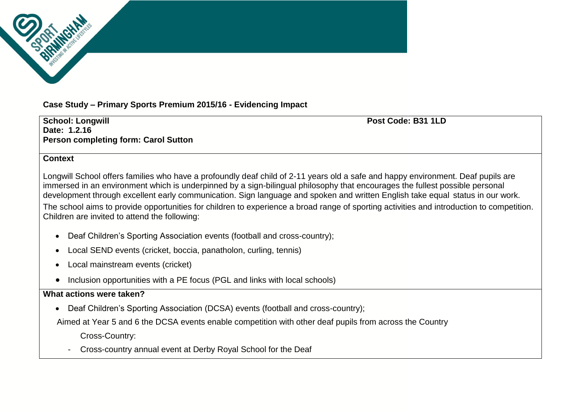**Case Study – Primary Sports Premium 2015/16 - Evidencing Impact**

**School: Longwill Post Code: B31 1LD Date: 1.2.16 Person completing form: Carol Sutton** 

#### **Context**

Longwill School offers families who have a profoundly deaf child of 2-11 years old a safe and happy environment. Deaf pupils are immersed in an environment which is underpinned by a sign-bilingual philosophy that encourages the fullest possible personal development through excellent early communication. Sign language and spoken and written English take equal status in our work. The school aims to provide opportunities for children to experience a broad range of sporting activities and introduction to competition. Children are invited to attend the following:

- Deaf Children's Sporting Association events (football and cross-country);
- Local SEND events (cricket, boccia, panatholon, curling, tennis)
- Local mainstream events (cricket)
- Inclusion opportunities with a PE focus (PGL and links with local schools)

#### **What actions were taken?**

Deaf Children's Sporting Association (DCSA) events (football and cross-country);

Aimed at Year 5 and 6 the DCSA events enable competition with other deaf pupils from across the Country

Cross-Country:

- Cross-country annual event at Derby Royal School for the Deaf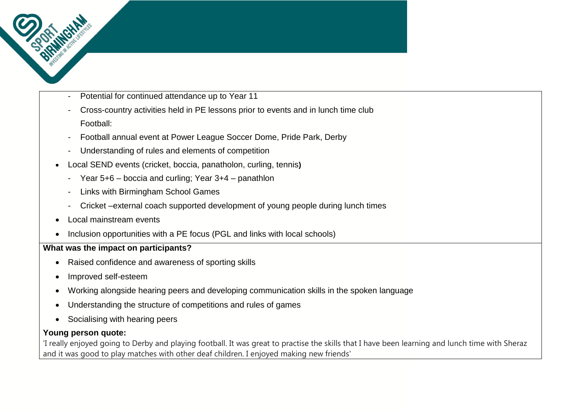- Potential for continued attendance up to Year 11
- Cross-country activities held in PE lessons prior to events and in lunch time club Football:
- Football annual event at Power League Soccer Dome, Pride Park, Derby
- Understanding of rules and elements of competition
- Local SEND events (cricket, boccia, panatholon, curling, tennis**)**
	- Year 5+6 boccia and curling; Year 3+4 panathlon
	- Links with Birmingham School Games
	- Cricket –external coach supported development of young people during lunch times
- Local mainstream events
- Inclusion opportunities with a PE focus (PGL and links with local schools)

# **What was the impact on participants?**

- Raised confidence and awareness of sporting skills
- Improved self-esteem
- Working alongside hearing peers and developing communication skills in the spoken language
- Understanding the structure of competitions and rules of games
- Socialising with hearing peers

# **Young person quote:**

'I really enjoyed going to Derby and playing football. It was great to practise the skills that I have been learning and lunch time with Sheraz and it was good to play matches with other deaf children. I enjoyed making new friends'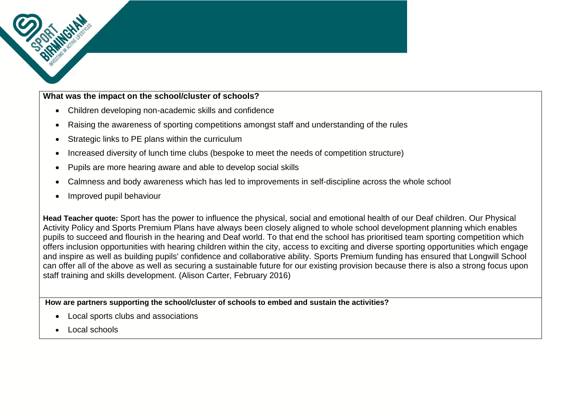# **What was the impact on the school/cluster of schools?**

- Children developing non-academic skills and confidence
- Raising the awareness of sporting competitions amongst staff and understanding of the rules
- Strategic links to PE plans within the curriculum
- Increased diversity of lunch time clubs (bespoke to meet the needs of competition structure)
- Pupils are more hearing aware and able to develop social skills
- Calmness and body awareness which has led to improvements in self-discipline across the whole school
- Improved pupil behaviour

**Head Teacher quote:** Sport has the power to influence the physical, social and emotional health of our Deaf children. Our Physical Activity Policy and Sports Premium Plans have always been closely aligned to whole school development planning which enables pupils to succeed and flourish in the hearing and Deaf world. To that end the school has prioritised team sporting competition which offers inclusion opportunities with hearing children within the city, access to exciting and diverse sporting opportunities which engage and inspire as well as building pupils' confidence and collaborative ability. Sports Premium funding has ensured that Longwill School can offer all of the above as well as securing a sustainable future for our existing provision because there is also a strong focus upon staff training and skills development. (Alison Carter, February 2016)

**How are partners supporting the school/cluster of schools to embed and sustain the activities?**

- Local sports clubs and associations
- Local schools